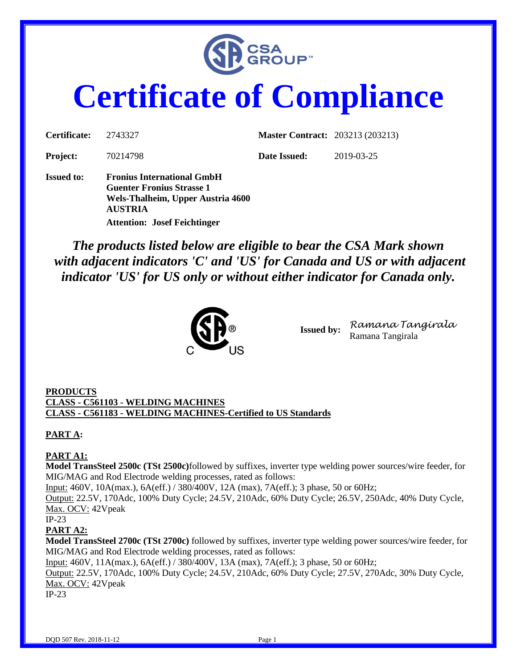

# **Certificate of Compliance**

| Certificate:      | 2743327                                                                                                                      | <b>Master Contract: 203213 (203213)</b> |            |
|-------------------|------------------------------------------------------------------------------------------------------------------------------|-----------------------------------------|------------|
| <b>Project:</b>   | 70214798                                                                                                                     | Date Issued:                            | 2019-03-25 |
| <b>Issued to:</b> | <b>Fronius International GmbH</b><br><b>Guenter Fronius Strasse 1</b><br>Wels-Thalheim, Upper Austria 4600<br><b>AUSTRIA</b> |                                         |            |
|                   | <b>Attention: Josef Feichtinger</b>                                                                                          |                                         |            |

*The products listed below are eligible to bear the CSA Mark shown with adjacent indicators 'C' and 'US' for Canada and US or with adjacent indicator 'US' for US only or without either indicator for Canada only.*



**Issued by:** *Ramana Tangirala* Ramana Tangirala

#### **PRODUCTS CLASS - C561103 - WELDING MACHINES CLASS - C561183 - WELDING MACHINES-Certified to US Standards**

# **PART A:**

### **PART A1:**

**Model TransSteel 2500c (TSt 2500c)**followed by suffixes, inverter type welding power sources/wire feeder, for MIG/MAG and Rod Electrode welding processes, rated as follows:

Input: 460V, 10A(max.), 6A(eff.) / 380/400V, 12A (max), 7A(eff.); 3 phase, 50 or 60Hz;

Output: 22.5V, 170Adc, 100% Duty Cycle; 24.5V, 210Adc, 60% Duty Cycle; 26.5V, 250Adc, 40% Duty Cycle, Max. OCV: 42Vpeak

#### IP-23

## **PART A2:**

**Model TransSteel 2700c (TSt 2700c)** followed by suffixes, inverter type welding power sources/wire feeder, for MIG/MAG and Rod Electrode welding processes, rated as follows:

Input: 460V, 11A(max.), 6A(eff.) / 380/400V, 13A (max), 7A(eff.); 3 phase, 50 or 60Hz;

Output: 22.5V, 170Adc, 100% Duty Cycle; 24.5V, 210Adc, 60% Duty Cycle; 27.5V, 270Adc, 30% Duty Cycle, Max. OCV: 42Vpeak

IP-23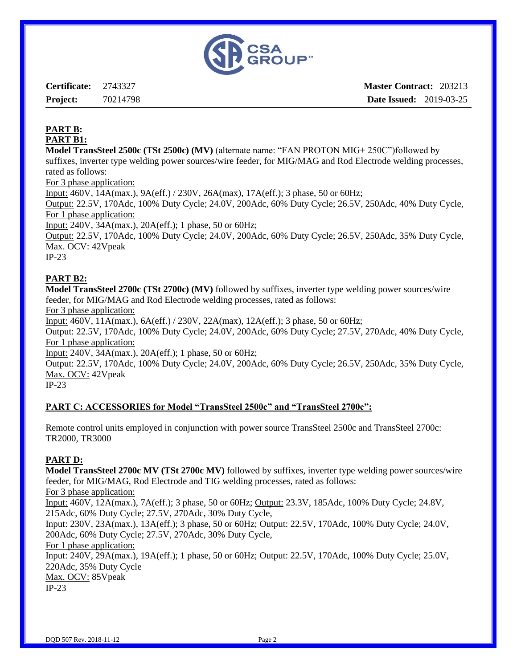

**Certificate:** 2743327 **Project:** 70214798 **Master Contract:** 203213 **Date Issued:** 2019-03-25

## **PART B: PART B1:**

**Model TransSteel 2500c (TSt 2500c) (MV)** (alternate name: "FAN PROTON MIG+ 250C")followed by suffixes, inverter type welding power sources/wire feeder, for MIG/MAG and Rod Electrode welding processes, rated as follows:

For 3 phase application:

Input: 460V, 14A(max.), 9A(eff.) / 230V, 26A(max), 17A(eff.); 3 phase, 50 or 60Hz;

Output: 22.5V, 170Adc, 100% Duty Cycle; 24.0V, 200Adc, 60% Duty Cycle; 26.5V, 250Adc, 40% Duty Cycle, For 1 phase application:

Input: 240V, 34A(max.), 20A(eff.); 1 phase, 50 or 60Hz;

Output: 22.5V, 170Adc, 100% Duty Cycle; 24.0V, 200Adc, 60% Duty Cycle; 26.5V, 250Adc, 35% Duty Cycle, Max. OCV: 42Vpeak

IP-23

# **PART B2:**

**Model TransSteel 2700c (TSt 2700c) (MV)** followed by suffixes, inverter type welding power sources/wire feeder, for MIG/MAG and Rod Electrode welding processes, rated as follows:

For 3 phase application:

Input: 460V, 11A(max.), 6A(eff.) / 230V, 22A(max), 12A(eff.); 3 phase, 50 or 60Hz;

Output: 22.5V, 170Adc, 100% Duty Cycle; 24.0V, 200Adc, 60% Duty Cycle; 27.5V, 270Adc, 40% Duty Cycle, For 1 phase application:

Input: 240V, 34A(max.), 20A(eff.); 1 phase, 50 or 60Hz;

Output: 22.5V, 170Adc, 100% Duty Cycle; 24.0V, 200Adc, 60% Duty Cycle; 26.5V, 250Adc, 35% Duty Cycle, Max. OCV: 42Vpeak

IP-23

### **PART C: ACCESSORIES for Model "TransSteel 2500c" and "TransSteel 2700c":**

Remote control units employed in conjunction with power source TransSteel 2500c and TransSteel 2700c: TR2000, TR3000

### **PART D:**

**Model TransSteel 2700c MV (TSt 2700c MV)** followed by suffixes, inverter type welding power sources/wire feeder, for MIG/MAG, Rod Electrode and TIG welding processes, rated as follows: For 3 phase application: Input: 460V, 12A(max.), 7A(eff.); 3 phase, 50 or 60Hz; Output: 23.3V, 185Adc, 100% Duty Cycle; 24.8V, 215Adc, 60% Duty Cycle; 27.5V, 270Adc, 30% Duty Cycle, Input: 230V, 23A(max.), 13A(eff.); 3 phase, 50 or 60Hz; Output: 22.5V, 170Adc, 100% Duty Cycle; 24.0V, 200Adc, 60% Duty Cycle; 27.5V, 270Adc, 30% Duty Cycle, For 1 phase application: Input: 240V, 29A(max.), 19A(eff.); 1 phase, 50 or 60Hz; Output: 22.5V, 170Adc, 100% Duty Cycle; 25.0V, 220Adc, 35% Duty Cycle Max. OCV: 85Vpeak IP-23